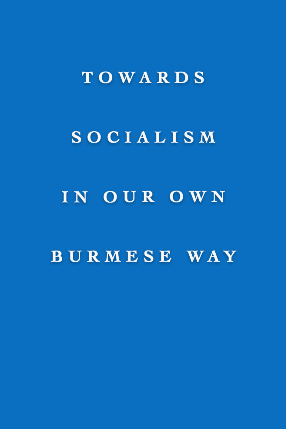# **TOWARDS**

# SOCIALISM

# IN OUR OWN

# BURMESE WAY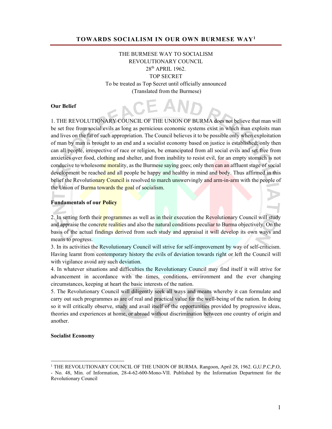## **TOWARDS SOCIALISM IN OUR OWN BURMESE WAY1**

THE BURMESE WAY TO SOCIALISM REVOLUTIONARY COUNCIL 28th APRIL 1962. TOP SECRET To be treated as Top Secret until officially announced (Translated from the Burmese)

#### **Our Belief**

1. THE REVOLUTIONARY COUNCIL OF THE UNION OF BURMA does not believe that man will be set free from social evils as long as pernicious economic systems exist in which man exploits man and lives on the fat of such appropriation. The Council believes it to be possible only when exploitation of man by man is brought to an end and a socialist economy based on justice is established; only then can all people, irrespective of race or religion, be emancipated from all social evils and set free from anxieties over food, clothing and shelter, and from inability to resist evil, for an empty stomach is not conducive to wholesome morality, as the Burmese saying goes; only then can an affluent stage of social development be reached and all people be happy and healthy in mind and body. Thus affirmed in this belief the Revolutionary Council is resolved to march unswervingly and arm-in-arm with the people of the Union of Burma towards the goal of socialism.

#### **Fundamentals of our Policy**

2. In setting forth their programmes as well as in their execution the Revolutionary Council will study and appraise the concrete realities and also the natural conditions peculiar to Burma objectively. On the basis of the actual findings derived from such study and appraisal it will develop its own ways and means to progress.

3. In its activities the Revolutionary Council will strive for self-improvement by way of self-criticism. Having learnt from contemporary history the evils of deviation towards right or left the Council will with vigilance avoid any such deviation.

4. In whatever situations and difficulties the Revolutionary Council may find itself it will strive for advancement in accordance with the times, conditions, environment and the ever changing circumstances, keeping at heart the basic interests of the nation.

5. The Revolutionary Council will diligently seek all ways and means whereby it can formulate and carry out such programmes as are of real and practical value for the well-being of the nation. In doing so it will critically observe, study and avail itself of the opportunities provided by progressive ideas, theories and experiences at home, or abroad without discrimination between one country of origin and another.

#### **Socialist Economy**

 $\overline{\phantom{a}}$ 

<sup>&</sup>lt;sup>1</sup> THE REVOLUTIONARY COUNCIL OF THE UNION OF BURMA. Rangoon, April 28, 1962. G,U.P.C,P.O,

<sup>-</sup> No. 48, Min. of Information, 28-4-62-600-Mono-VII. Published by the Information Department for the Revolutionary Council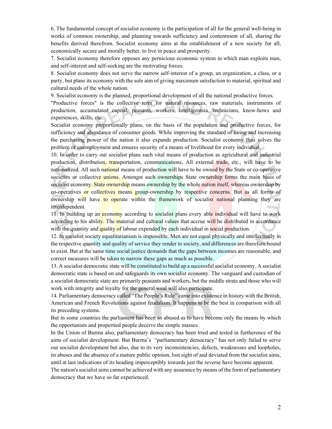6. The fundamental concept of socialist economy is the participation of all for the general well-being in works of common ownership, and planning towards sufficiency and contentment of all, sharing the benefits derived therefrom. Socialist economy aims at the establishment of a new society for all, economically secure and morally better, to live in peace and prosperity.

7. Socialist economy therefore opposes any pernicious economic system in which man exploits man, and self-interest and self-seeking are the motivating forces.

8. Socialist economy does not serve the narrow self-interest of a group, an organization, a class, or a party, but plans its economy with the sole aim of giving maximum satisfaction to material, spiritual and cultural needs of the whole nation.

9. Socialist economy is the planned, proportional development of all the national productive forces.

"Productive forces" is the collective term for natural resources, raw materials, instruments of production, accumulated capital, peasants, workers, intelligentsia, technicians, know-hows and experiences, skills, etc.

Socialist economy proportionally plans, on the basis of the population and productive forces, for sufficiency and abundance of consumer goods. While improving the standard of living and increasing the purchasing power of the nation it also expands production. Socialist economy thus solves the problem of unemployment and ensures security of a means of livelihood for every individual.

10. In order to carry out socialist plans such vital means of production as agricultural and industrial production, distribution, transportation, communications, All external trade, etc., will have to be nationalized. All such national means of production will have to be owned by the State or co-operative societies or collective unions. Amongst such ownerships State ownership forms the main basis of socialist economy. State ownership means ownership by the whole nation itself, whereas ownership by co-operatives or collectives means group-ownership by respective concerns. But as all forms of ownership will have to operate within the framework of socialist national planning they are interdependent.

11. In building up an economy according to socialist plans every able individual will have to work according to his ability. The material and cultural values that accrue will he distributed in accordance with the quantity and quality of labour expended by each individual in social production.

12. In socialist society equalitarianism is impossible. Men are not equal physically and intellectually in the respective quantity and quality of service they render to society, and differences are therefore bound to exist. But at the same time social justice demands that the gaps between incomes are reasonable, and correct measures will be taken to narrow these gaps as much as possible.

13. A socialist democratic state will be constituted to build up a successful socialist economy. A socialist democratic state is based on and safeguards its own socialist economy. The vanguard and custodian of a socialist democratic state are primarily peasants and workers, but the middle strata and those who will work with integrity and loyalty for the general weal will also participate.

14. Parliamentary democracy called "The People's Rule" came into existence in history with the British, American and French Revolutions against feudalism. It happens to be the best in comparison with all its preceding systems.

But in some countries the parliament has been so abused as to have become only the means by which the opportunists and propertied people deceive the simple masses.

In the Union of Burma also, parliamentary democracy has been tried and tested in furtherence of the aims of socialist development. But Burma's "parliamentary democracy" has not only failed to serve our socialist development but also, due to its very inconsistencies, defects, weaknesses and loopholes, its abuses and the absence of a mature public opinion, lost sight of and deviated from the socialist aims, until at last indications of its heading imperceptibly towards just the reverse have become apparent.

The nation's socialist aims cannot be achieved with any assurance by means of the form of parliamentary democracy that we have so far experienced.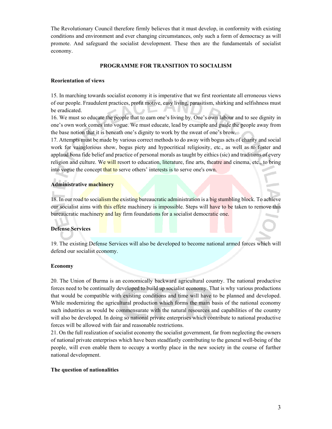The Revolutionary Council therefore firmly believes that it must develop, in conformity with existing conditions and environment and ever changing circumstances, only such a form of democracy as will promote. And safeguard the socialist development. These then are the fundamentals of socialist economy.

#### **PROGRAMME FOR TRANSITION TO SOCIALISM**

## **Reorientation of views**

15. In marching towards socialist economy it is imperative that we first reorientate all erroneous views of our people. Fraudulent practices, profit motive, easy living, parasitism, shirking and selfishness must be eradicated.

16. We must so educate the people that to earn one's living by. One's own labour and to see dignity in one's own work comes into vogue. We must educate, lead by example and guide the people away from the base notion that it is beneath one's dignity to work by the sweat of one's brow.

17. Attempts must be made by various correct methods to do away with bogus acts of charity and social work for vainglorious show, bogus piety and hypocritical religiosity, etc., as well as to foster and applaud bona fide belief and practice of personal morals as taught by eithics (sic) and traditions of every religion and culture. We will resort to education, literature, fine arts, theatre and cinema, etc., to bring into vogue the concept that to serve others' interests is to serve one's own.

# **Administrative machinery**

18. In our road to socialism the existing bureaucratic administration is a big stumbling block. To achieve our socialist aims with this effete machinery is impossible. Steps will have to be taken to remove this bureaucratic machinery and lay firm foundations for a socialist democratic one.

# **Defense Services**

19. The existing Defense Services will also be developed to become national armed forces which will defend our socialist economy.

#### **Economy**

20. The Union of Burma is an economically backward agricultural country. The national productive forces need to be continually developed to build up socialist economy. That is why various productions that would be compatible with existing conditions and time will have to be planned and developed. While modernizing the agricultural production which forms the main basis of the national economy such industries as would be commensurate with the natural resources and capabilities of the country will also be developed. In doing so national private enterprises which contribute to national productive forces will be allowed with fair and reasonable restrictions.

21. On the full realization of socialist economy the socialist government, far from neglecting the owners of national private enterprises which have been steadfastly contributing to the general well-being of the people, will even enable them to occupy a worthy place in the new society in the course of further national development.

#### **The question of nationalities**